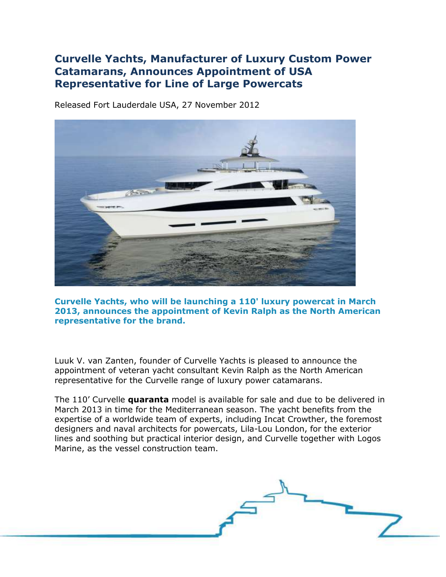## **Curvelle Yachts, Manufacturer of Luxury Custom Power Catamarans, Announces Appointment of USA Representative for Line of Large Powercats**

Released Fort Lauderdale USA, 27 November 2012



**Curvelle Yachts, who will be launching a 110' luxury powercat in March 2013, announces the appointment of Kevin Ralph as the North American representative for the brand.** 

Luuk V. van Zanten, founder of Curvelle Yachts is pleased to announce the appointment of veteran yacht consultant Kevin Ralph as the North American representative for the Curvelle range of luxury power catamarans.

The 110' Curvelle **quaranta** model is available for sale and due to be delivered in March 2013 in time for the Mediterranean season. The yacht benefits from the expertise of a worldwide team of experts, including Incat Crowther, the foremost designers and naval architects for powercats, Lila-Lou London, for the exterior lines and soothing but practical interior design, and Curvelle together with Logos Marine, as the vessel construction team.